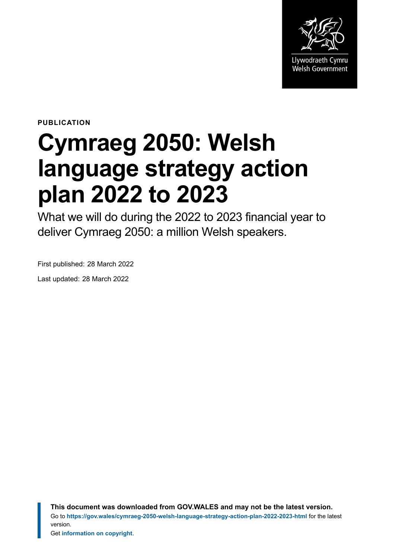

**PUBLICATION**

# **Cymraeg 2050: Welsh language strategy action plan 2022 to 2023**

What we will do during the 2022 to 2023 financial year to deliver Cymraeg 2050: a million Welsh speakers.

First published: 28 March 2022

Last updated: 28 March 2022

**This document was downloaded from GOV.WALES and may not be the latest version.** Go to **<https://gov.wales/cymraeg-2050-welsh-language-strategy-action-plan-2022-2023-html>** for the latest version.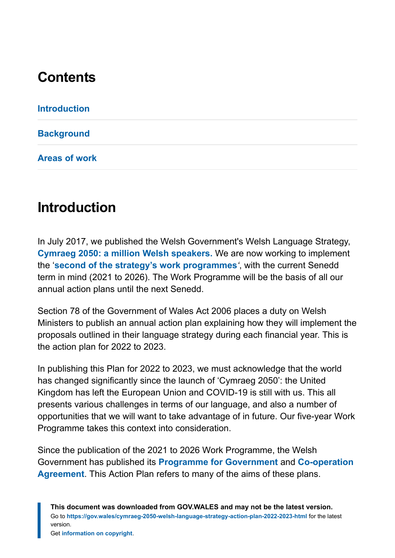# **Contents**

**[Introduction](#page-1-0)**

**[Background](#page-2-0)**

**[Areas of work](#page-3-0)**

# <span id="page-1-0"></span>**Introduction**

In July 2017, we published the Welsh Government's Welsh Language Strategy, **[Cymraeg 2050: a million Welsh speakers](https://gov.wales/sites/default/files/publications/2018-12/cymraeg-2050-welsh-language-strategy.pdf)[.](https://senedd.wales/Laid%20Documents/GEN-LD11108/GEN-LD11108-e.pdf)** We are now working to implement the '**[second of the strategy's work programmes](https://gov.wales/cymraeg-2050-work-programme-2021-2026-html)***'*, with the current Senedd term in mind (2021 to 2026). The Work Programme will be the basis of all our annual action plans until the next Senedd.

Section 78 of the Government of Wales Act 2006 places a duty on Welsh Ministers to publish an annual action plan explaining how they will implement the proposals outlined in their language strategy during each financial year. This is the action plan for 2022 to 2023.

In publishing this Plan for 2022 to 2023, we must acknowledge that the world has changed significantly since the launch of 'Cymraeg 2050': the United Kingdom has left the European Union and COVID-19 is still with us. This all presents various challenges in terms of our language, and also a number of opportunities that we will want to take advantage of in future. Our five-year Work Programme takes this context into consideration.

Since the publication of the 2021 to 2026 Work Programme, the Welsh Government has published its **[Programme for Government](https://gov.wales/sites/default/files/publications/2022-01/programme-for-government-update-december-2021.pdf)** and **[Co-operation](https://gov.wales/sites/default/files/publications/2021-11/cooperation-agreement-2021.pdf) [Agreement](https://gov.wales/sites/default/files/publications/2021-11/cooperation-agreement-2021.pdf)**. This Action Plan refers to many of the aims of these plans.

**This document was downloaded from GOV.WALES and may not be the latest version.** Go to **<https://gov.wales/cymraeg-2050-welsh-language-strategy-action-plan-2022-2023-html>** for the latest version.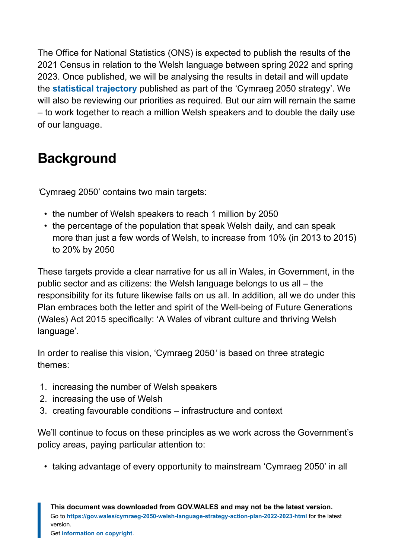The Office for National Statistics (ONS) is expected to publish the results of the 2021 Census in relation to the Welsh language between spring 2022 and spring 2023. Once published, we will be analysing the results in detail and will update the **[statistical trajectory](https://gov.wales/sites/default/files/publications/2018-12/welsh-speaker-estimates-2011-to-2050-technical-report.pdf)** published as part of the 'Cymraeg 2050 strategy'. We will also be reviewing our priorities as required*.* But our aim will remain the same – to work together to reach a million Welsh speakers and to double the daily use of our language.

# <span id="page-2-0"></span>**Background**

*'*Cymraeg 2050' contains two main targets:

- the number of Welsh speakers to reach 1 million by 2050
- the percentage of the population that speak Welsh daily, and can speak more than just a few words of Welsh, to increase from 10% (in 2013 to 2015) to 20% by 2050

These targets provide a clear narrative for us all in Wales, in Government, in the public sector and as citizens: the Welsh language belongs to us all – the responsibility for its future likewise falls on us all. In addition, all we do under this Plan embraces both the letter and spirit of the Well-being of Future Generations (Wales) Act 2015 specifically: 'A Wales of vibrant culture and thriving Welsh language'.

In order to realise this vision, 'Cymraeg 2050*'* is based on three strategic themes:

- 1. increasing the number of Welsh speakers
- 2. increasing the use of Welsh
- 3. creating favourable conditions infrastructure and context

We'll continue to focus on these principles as we work across the Government's policy areas, paying particular attention to:

• taking advantage of every opportunity to mainstream 'Cymraeg 2050' in all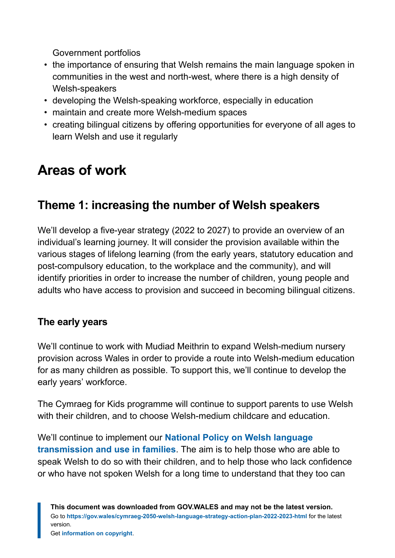Government portfolios

- the importance of ensuring that Welsh remains the main language spoken in communities in the west and north-west, where there is a high density of Welsh-speakers
- developing the Welsh-speaking workforce, especially in education
- maintain and create more Welsh-medium spaces
- creating bilingual citizens by offering opportunities for everyone of all ages to learn Welsh and use it regularly

# <span id="page-3-0"></span>**Areas of work**

# **Theme 1: increasing the number of Welsh speakers**

We'll develop a five-year strategy (2022 to 2027) to provide an overview of an individual's learning journey. It will consider the provision available within the various stages of lifelong learning (from the early years, statutory education and post-compulsory education, to the workplace and the community), and will identify priorities in order to increase the number of children, young people and adults who have access to provision and succeed in becoming bilingual citizens.

# **The early years**

We'll continue to work with Mudiad Meithrin to expand Welsh-medium nursery provision across Wales in order to provide a route into Welsh-medium education for as many children as possible. To support this, we'll continue to develop the early years' workforce.

The Cymraeg for Kids programme will continue to support parents to use Welsh with their children, and to choose Welsh-medium childcare and education.

We'll continue to implement our **[National Policy on Welsh language](https://gov.wales/sites/default/files/publications/2021-01/national-policy-on-welsh-language-transmission-and-use-in-families.pdf) [transmission and use in families](https://gov.wales/sites/default/files/publications/2021-01/national-policy-on-welsh-language-transmission-and-use-in-families.pdf)**. The aim is to help those who are able to speak Welsh to do so with their children, and to help those who lack confidence or who have not spoken Welsh for a long time to understand that they too can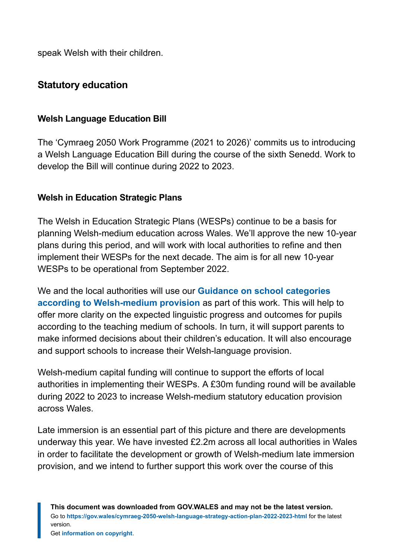speak Welsh with their children.

## **Statutory education**

#### **Welsh Language Education Bill**

The 'Cymraeg 2050 Work Programme (2021 to 2026)' commits us to introducing a Welsh Language Education Bill during the course of the sixth Senedd. Work to develop the Bill will continue during 2022 to 2023.

#### **Welsh in Education Strategic Plans**

The Welsh in Education Strategic Plans (WESPs) continue to be a basis for planning Welsh-medium education across Wales. We'll approve the new 10-year plans during this period, and will work with local authorities to refine and then implement their WESPs for the next decade. The aim is for all new 10-year WESPs to be operational from September 2022.

We and the local authorities will use our **[Guidance on school categories](https://gov.wales/school-categories-according-to-welsh-medium-provision) [according to Welsh-medium provision](https://gov.wales/school-categories-according-to-welsh-medium-provision)** as part of this work. This will help to offer more clarity on the expected linguistic progress and outcomes for pupils according to the teaching medium of schools. In turn, it will support parents to make informed decisions about their children's education. It will also encourage and support schools to increase their Welsh-language provision.

Welsh-medium capital funding will continue to support the efforts of local authorities in implementing their WESPs. A £30m funding round will be available during 2022 to 2023 to increase Welsh-medium statutory education provision across Wales.

Late immersion is an essential part of this picture and there are developments underway this year. We have invested £2.2m across all local authorities in Wales in order to facilitate the development or growth of Welsh-medium late immersion provision, and we intend to further support this work over the course of this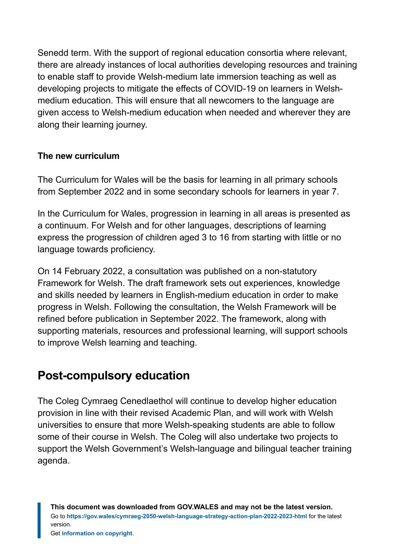Senedd term. With the support of regional education consortia where relevant, there are already instances of local authorities developing resources and training to enable staff to provide Welsh-medium late immersion teaching as well as developing projects to mitigate the effects of COVID-19 on learners in Welshmedium education. This will ensure that all newcomers to the language are given access to Welsh-medium education when needed and wherever they are along their learning journey.

#### **The new curriculum**

The Curriculum for Wales will be the basis for learning in all primary schools from September 2022 and in some secondary schools for learners in year 7.

In the Curriculum for Wales, progression in learning in all areas is presented as a continuum. For Welsh and for other languages, descriptions of learning express the progression of children aged 3 to 16 from starting with little or no language towards proficiency.

On 14 February 2022, a consultation was published on a non-statutory Framework for Welsh. The draft framework sets out experiences, knowledge and skills needed by learners in English-medium education in order to make progress in Welsh. Following the consultation, the Welsh Framework will be refined before publication in September 2022. The framework, along with supporting materials, resources and professional learning, will support schools to improve Welsh learning and teaching.

# **Post-compulsory education**

The Coleg Cymraeg Cenedlaethol will continue to develop higher education provision in line with their revised Academic Plan, and will work with Welsh universities to ensure that more Welsh-speaking students are able to follow some of their course in Welsh. The Coleg will also undertake two projects to support the Welsh Government's Welsh-language and bilingual teacher training agenda.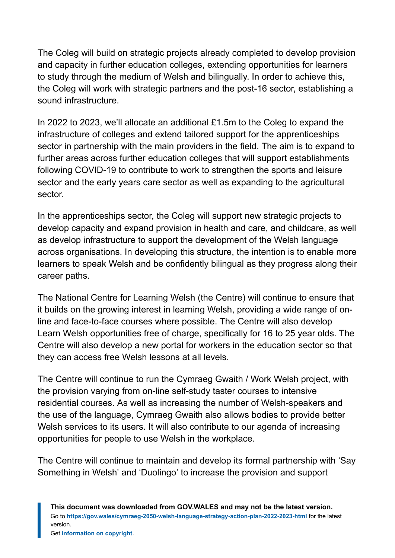The Coleg will build on strategic projects already completed to develop provision and capacity in further education colleges, extending opportunities for learners to study through the medium of Welsh and bilingually. In order to achieve this, the Coleg will work with strategic partners and the post-16 sector, establishing a sound infrastructure.

In 2022 to 2023, we'll allocate an additional £1.5m to the Coleg to expand the infrastructure of colleges and extend tailored support for the apprenticeships sector in partnership with the main providers in the field. The aim is to expand to further areas across further education colleges that will support establishments following COVID-19 to contribute to work to strengthen the sports and leisure sector and the early years care sector as well as expanding to the agricultural sector.

In the apprenticeships sector, the Coleg will support new strategic projects to develop capacity and expand provision in health and care, and childcare, as well as develop infrastructure to support the development of the Welsh language across organisations. In developing this structure, the intention is to enable more learners to speak Welsh and be confidently bilingual as they progress along their career paths.

The National Centre for Learning Welsh (the Centre) will continue to ensure that it builds on the growing interest in learning Welsh, providing a wide range of online and face-to-face courses where possible. The Centre will also develop Learn Welsh opportunities free of charge, specifically for 16 to 25 year olds. The Centre will also develop a new portal for workers in the education sector so that they can access free Welsh lessons at all levels.

The Centre will continue to run the Cymraeg Gwaith / Work Welsh project, with the provision varying from on-line self-study taster courses to intensive residential courses. As well as increasing the number of Welsh-speakers and the use of the language, Cymraeg Gwaith also allows bodies to provide better Welsh services to its users. It will also contribute to our agenda of increasing opportunities for people to use Welsh in the workplace.

The Centre will continue to maintain and develop its formal partnership with 'Say Something in Welsh' and 'Duolingo' to increase the provision and support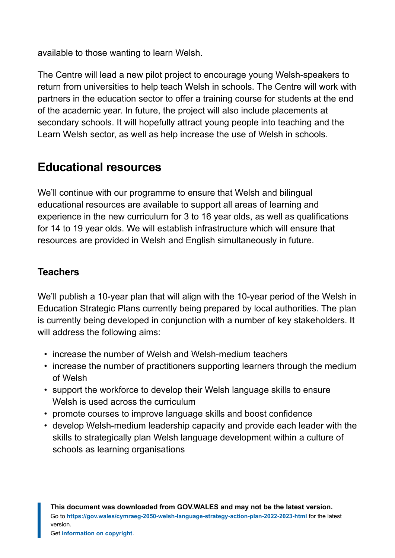available to those wanting to learn Welsh.

The Centre will lead a new pilot project to encourage young Welsh-speakers to return from universities to help teach Welsh in schools. The Centre will work with partners in the education sector to offer a training course for students at the end of the academic year. In future, the project will also include placements at secondary schools. It will hopefully attract young people into teaching and the Learn Welsh sector, as well as help increase the use of Welsh in schools.

# **Educational resources**

We'll continue with our programme to ensure that Welsh and bilingual educational resources are available to support all areas of learning and experience in the new curriculum for 3 to 16 year olds, as well as qualifications for 14 to 19 year olds. We will establish infrastructure which will ensure that resources are provided in Welsh and English simultaneously in future.

## **Teachers**

We'll publish a 10-year plan that will align with the 10-year period of the Welsh in Education Strategic Plans currently being prepared by local authorities. The plan is currently being developed in conjunction with a number of key stakeholders. It will address the following aims:

- increase the number of Welsh and Welsh-medium teachers
- increase the number of practitioners supporting learners through the medium of Welsh
- support the workforce to develop their Welsh language skills to ensure Welsh is used across the curriculum
- promote courses to improve language skills and boost confidence
- develop Welsh-medium leadership capacity and provide each leader with the skills to strategically plan Welsh language development within a culture of schools as learning organisations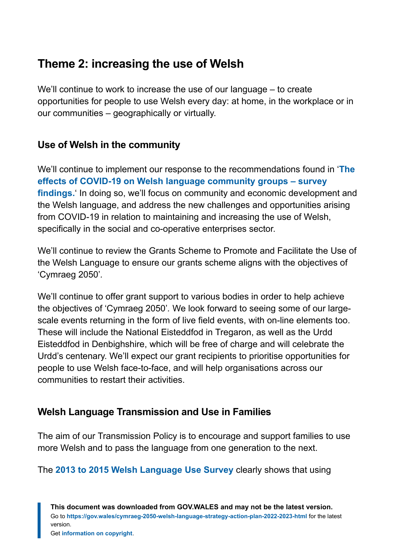# **Theme 2: increasing the use of Welsh**

We'll continue to work to increase the use of our language – to create opportunities for people to use Welsh every day: at home, in the workplace or in our communities – geographically or virtually.

# **Use of Welsh in the community**

We'll continue to implement our response to the recommendations found in '**[The](https://gov.wales/sites/default/files/statistics-and-research/2020-12/the-effects-of-covid-19-on-welsh-language-community-groups-survey-findings_1.pdf) [effects of COVID-19 on Welsh](https://gov.wales/sites/default/files/statistics-and-research/2020-12/the-effects-of-covid-19-on-welsh-language-community-groups-survey-findings_1.pdf) [language community groups](https://gov.wales/sites/default/files/statistics-and-research/2020-12/the-effects-of-covid-19-on-welsh-language-community-groups-survey-findings_1.pdf) [–](https://gov.wales/sites/default/files/statistics-and-research/2020-12/the-effects-of-covid-19-on-welsh-language-community-groups-survey-findings_1.pdf) [survey](https://gov.wales/sites/default/files/statistics-and-research/2020-12/the-effects-of-covid-19-on-welsh-language-community-groups-survey-findings_1.pdf) [findings.](https://gov.wales/sites/default/files/statistics-and-research/2020-12/the-effects-of-covid-19-on-welsh-language-community-groups-survey-findings_1.pdf)**' In doing so, we'll focus on community and economic development and the Welsh language, and address the new challenges and opportunities arising from COVID-19 in relation to maintaining and increasing the use of Welsh, specifically in the social and co-operative enterprises sector.

We'll continue to review the Grants Scheme to Promote and Facilitate the Use of the Welsh Language to ensure our grants scheme aligns with the objectives of 'Cymraeg 2050'*.*

We'll continue to offer grant support to various bodies in order to help achieve the objectives of 'Cymraeg 2050'*.* We look forward to seeing some of our largescale events returning in the form of live field events, with on-line elements too. These will include the National Eisteddfod in Tregaron, as well as the Urdd Eisteddfod in Denbighshire, which will be free of charge and will celebrate the Urdd's centenary. We'll expect our grant recipients to prioritise opportunities for people to use Welsh face-to-face, and will help organisations across our communities to restart their activities.

## **Welsh Language Transmission and Use in Families**

The aim of our Transmission Policy is to encourage and support families to use more Welsh and to pass the language from one generation to the next.

The **[2013 to 2015 Welsh Language Use Survey](https://gov.wales/sites/default/files/statistics-and-research/2018-12/160301-welsh-language-use-in-wales-2013-15-en.pdf)** clearly shows that using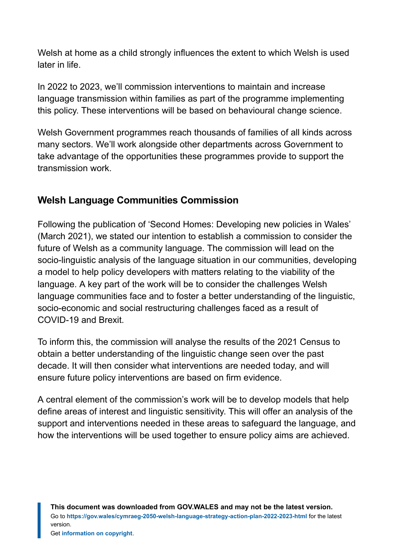Welsh at home as a child strongly influences the extent to which Welsh is used later in life.

In 2022 to 2023, we'll commission interventions to maintain and increase language transmission within families as part of the programme implementing this policy. These interventions will be based on behavioural change science.

Welsh Government programmes reach thousands of families of all kinds across many sectors. We'll work alongside other departments across Government to take advantage of the opportunities these programmes provide to support the transmission work.

# **Welsh Language Communities Commission**

Following the publication of 'Second Homes: Developing new policies in Wales' (March 2021), we stated our intention to establish a commission to consider the future of Welsh as a community language. The commission will lead on the socio-linguistic analysis of the language situation in our communities, developing a model to help policy developers with matters relating to the viability of the language. A key part of the work will be to consider the challenges Welsh language communities face and to foster a better understanding of the linguistic, socio-economic and social restructuring challenges faced as a result of COVID-19 and Brexit.

To inform this, the commission will analyse the results of the 2021 Census to obtain a better understanding of the linguistic change seen over the past decade. It will then consider what interventions are needed today, and will ensure future policy interventions are based on firm evidence.

A central element of the commission's work will be to develop models that help define areas of interest and linguistic sensitivity. This will offer an analysis of the support and interventions needed in these areas to safeguard the language, and how the interventions will be used together to ensure policy aims are achieved.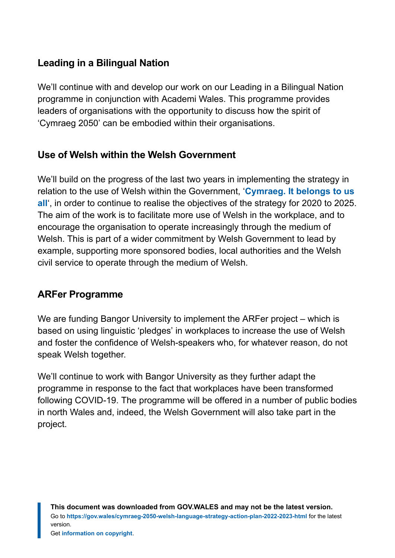# **Leading in a Bilingual Nation**

We'll continue with and develop our work on our Leading in a Bilingual Nation programme in conjunction with Academi Wales. This programme provides leaders of organisations with the opportunity to discuss how the spirit of 'Cymraeg 2050' can be embodied within their organisations.

## **Use of Welsh within the Welsh Government**

We'll build on the progress of the last two years in implementing the strategy in relation to the use of Welsh within the Government, '**[Cymraeg. It belongs to us](https://gov.wales/sites/default/files/pdf-versions/2021/10/3/1634738097/cymraeg-it-belongs-to-us-all.pdf) [all](https://gov.wales/sites/default/files/pdf-versions/2021/10/3/1634738097/cymraeg-it-belongs-to-us-all.pdf)**', in order to continue to realise the objectives of the strategy for 2020 to 2025. The aim of the work is to facilitate more use of Welsh in the workplace, and to encourage the organisation to operate increasingly through the medium of Welsh. This is part of a wider commitment by Welsh Government to lead by example, supporting more sponsored bodies, local authorities and the Welsh civil service to operate through the medium of Welsh.

#### **ARFer Programme**

We are funding Bangor University to implement the ARFer project – which is based on using linguistic 'pledges' in workplaces to increase the use of Welsh and foster the confidence of Welsh-speakers who, for whatever reason, do not speak Welsh together.

We'll continue to work with Bangor University as they further adapt the programme in response to the fact that workplaces have been transformed following COVID-19. The programme will be offered in a number of public bodies in north Wales and, indeed, the Welsh Government will also take part in the project.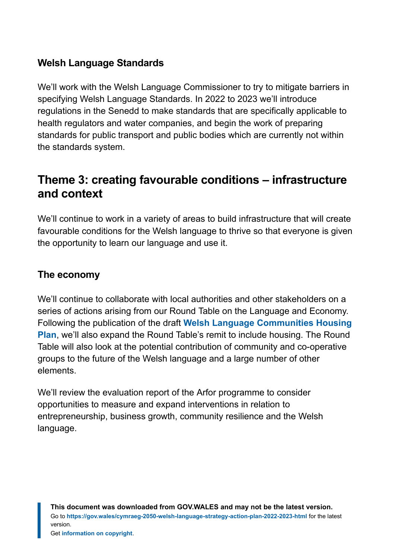## **Welsh Language Standards**

We'll work with the Welsh Language Commissioner to try to mitigate barriers in specifying Welsh Language Standards. In 2022 to 2023 we'll introduce regulations in the Senedd to make standards that are specifically applicable to health regulators and water companies, and begin the work of preparing standards for public transport and public bodies which are currently not within the standards system.

# **Theme 3: creating favourable conditions – infrastructure and context**

We'll continue to work in a variety of areas to build infrastructure that will create favourable conditions for the Welsh language to thrive so that everyone is given the opportunity to learn our language and use it.

#### **The economy**

We'll continue to collaborate with local authorities and other stakeholders on a series of actions arising from our Round Table on the Language and Economy. Following the publication of the draft **[Welsh Language Communities Housing](https://gov.wales/sites/default/files/consultations/2021-11/welsh-language-communities-housing-plan-consultation-doc.pdf) [Plan](https://gov.wales/sites/default/files/consultations/2021-11/welsh-language-communities-housing-plan-consultation-doc.pdf)**, we'll also expand the Round Table's remit to include housing. The Round Table will also look at the potential contribution of community and co-operative groups to the future of the Welsh language and a large number of other elements.

We'll review the evaluation report of the Arfor programme to consider opportunities to measure and expand interventions in relation to entrepreneurship, business growth, community resilience and the Welsh language.

**This document was downloaded from GOV.WALES and may not be the latest version.** Go to **<https://gov.wales/cymraeg-2050-welsh-language-strategy-action-plan-2022-2023-html>** for the latest version.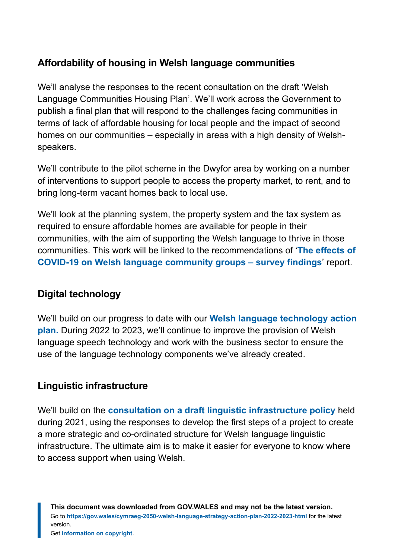# **Affordability of housing in Welsh language communities**

We'll analyse the responses to the recent consultation on the draft 'Welsh Language Communities Housing Plan'. We'll work across the Government to publish a final plan that will respond to the challenges facing communities in terms of lack of affordable housing for local people and the impact of second homes on our communities – especially in areas with a high density of Welshspeakers.

We'll contribute to the pilot scheme in the Dwyfor area by working on a number of interventions to support people to access the property market, to rent, and to bring long-term vacant homes back to local use.

We'll look at the planning system, the property system and the tax system as required to ensure affordable homes are available for people in their communities, with the aim of supporting the Welsh language to thrive in those communities. This work will be linked to the recommendations of '**[The effects of](https://gov.wales/sites/default/files/statistics-and-research/2020-12/the-effects-of-covid-19-on-welsh-language-community-groups-survey-findings_1.pdf) [COVID-19 on Welsh](https://gov.wales/sites/default/files/statistics-and-research/2020-12/the-effects-of-covid-19-on-welsh-language-community-groups-survey-findings_1.pdf) [language community groups](https://gov.wales/sites/default/files/statistics-and-research/2020-12/the-effects-of-covid-19-on-welsh-language-community-groups-survey-findings_1.pdf) [–](https://gov.wales/sites/default/files/statistics-and-research/2020-12/the-effects-of-covid-19-on-welsh-language-community-groups-survey-findings_1.pdf) [survey findings](https://gov.wales/sites/default/files/statistics-and-research/2020-12/the-effects-of-covid-19-on-welsh-language-community-groups-survey-findings_1.pdf)**' report.

# **Digital technology**

We'll build on our progres[s](https://gov.wales/sites/default/files/publications/2020-12/welsh-language-technology-action-plan-progress-report-2020.pdf) to date with our **[Welsh language technology action](https://gov.wales/sites/default/files/publications/2020-12/welsh-language-technology-action-plan-progress-report-2020.pdf) [plan](https://gov.wales/sites/default/files/publications/2020-12/welsh-language-technology-action-plan-progress-report-2020.pdf)[.](https://gov.wales/sites/default/files/publications/2018-12/welsh-language-technology-and-digital-media-action-plan.pdf)** During 2022 to 2023, we'll continue to improve the provision of Welsh language speech technology and work with the business sector to ensure the use of the language technology components we've already created.

## **Linguistic infrastructure**

We'll build on the **[consultation on a draft linguistic infrastructure policy](https://gov.wales/national-policy-welsh-linguistic-infrastructure)** [h](https://gov.wales/national-policy-welsh-linguistic-infrastructure)eld during 2021, using the responses to develop the first steps of a project to create a more strategic and co-ordinated structure for Welsh language linguistic infrastructure. The ultimate aim is to make it easier for everyone to know where to access support when using Welsh.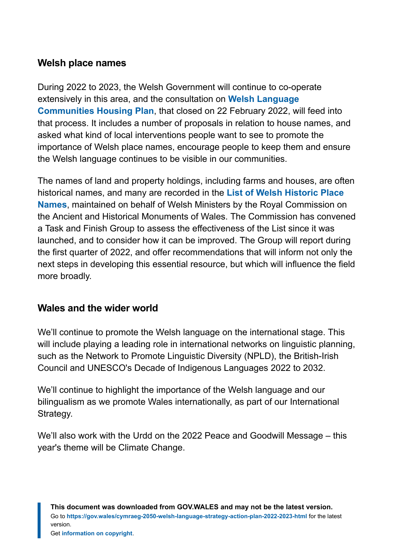#### **Welsh place names**

During 2022 to 2023, the Welsh Government will continue to co-operate extensively in this area, and the consultation on **[Welsh Language](https://gov.wales/sites/default/files/consultations/2021-11/welsh-language-communities-housing-plan-consultation-doc.pdf) [Communities Housing Plan](https://gov.wales/sites/default/files/consultations/2021-11/welsh-language-communities-housing-plan-consultation-doc.pdf)**, that closed on 22 February 2022, will feed into that process. It includes a number of proposals in relation to house names, and asked what kind of local interventions people want to see to promote the importance of Welsh place names, encourage people to keep them and ensure the Welsh language continues to be visible in our communities.

The names of land and property holdings, including farms and houses, are often historical names, and many are recorded in the **[List of Welsh Historic Place](https://historicplacenames.rcahmw.gov.uk/) [Names](https://historicplacenames.rcahmw.gov.uk/)**, maintained on behalf of Welsh Ministers by the Royal Commission on the Ancient and Historical Monuments of Wales. The Commission has convened a Task and Finish Group to assess the effectiveness of the List since it was launched, and to consider how it can be improved. The Group will report during the first quarter of 2022, and offer recommendations that will inform not only the next steps in developing this essential resource, but which will influence the field more broadly.

## **Wales and the wider world**

We'll continue to promote the Welsh language on the international stage. This will include playing a leading role in international networks on linguistic planning, such as the Network to Promote Linguistic Diversity (NPLD), the British-Irish Council and UNESCO's Decade of Indigenous Languages 2022 to 2032.

We'll continue to highlight the importance of the Welsh language and our bilingualism as we promote Wales internationally, as part of our International Strategy.

We'll also work with the Urdd on the 2022 Peace and Goodwill Message – this year's theme will be Climate Change.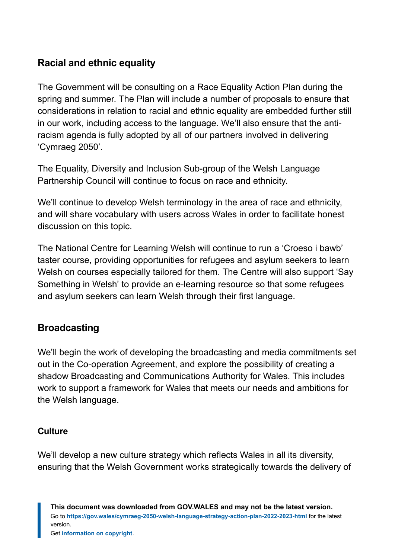## **Racial and ethnic equality**

The Government will be consulting on a Race Equality Action Plan during the spring and summer. The Plan will include a number of proposals to ensure that considerations in relation to racial and ethnic equality are embedded further still in our work, including access to the language. We'll also ensure that the antiracism agenda is fully adopted by all of our partners involved in delivering 'Cymraeg 2050'.

The Equality, Diversity and Inclusion Sub-group of the Welsh Language Partnership Council will continue to focus on race and ethnicity.

We'll continue to develop Welsh terminology in the area of race and ethnicity, and will share vocabulary with users across Wales in order to facilitate honest discussion on this topic.

The National Centre for Learning Welsh will continue to run a 'Croeso i bawb' taster course, providing opportunities for refugees and asylum seekers to learn Welsh on courses especially tailored for them. The Centre will also support 'Say Something in Welsh' to provide an e-learning resource so that some refugees and asylum seekers can learn Welsh through their first language.

#### **Broadcasting**

We'll begin the work of developing the broadcasting and media commitments set out in the Co-operation Agreement, and explore the possibility of creating a shadow Broadcasting and Communications Authority for Wales. This includes work to support a framework for Wales that meets our needs and ambitions for the Welsh language.

#### **Culture**

We'll develop a new culture strategy which reflects Wales in all its diversity, ensuring that the Welsh Government works strategically towards the delivery of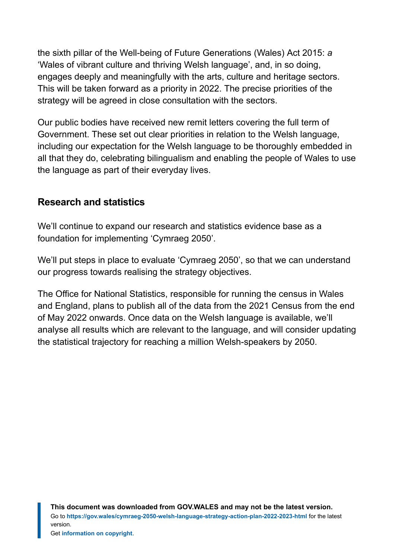the sixth pillar of the Well-being of Future Generations (Wales) Act 2015: *a* 'Wales of vibrant culture and thriving Welsh language', and, in so doing, engages deeply and meaningfully with the arts, culture and heritage sectors. This will be taken forward as a priority in 2022. The precise priorities of the strategy will be agreed in close consultation with the sectors.

Our public bodies have received new remit letters covering the full term of Government. These set out clear priorities in relation to the Welsh language, including our expectation for the Welsh language to be thoroughly embedded in all that they do, celebrating bilingualism and enabling the people of Wales to use the language as part of their everyday lives.

#### **Research and statistics**

We'll continue to expand our research and statistics evidence base as a foundation for implementing 'Cymraeg 2050'.

We'll put steps in place to evaluate 'Cymraeg 2050', so that we can understand our progress towards realising the strategy objectives.

The Office for National Statistics, responsible for running the census in Wales and England, plans to publish all of the data from the 2021 Census from the end of May 2022 onwards. Once data on the Welsh language is available, we'll analyse all results which are relevant to the language, and will consider updating the statistical trajectory for reaching a million Welsh-speakers by 2050.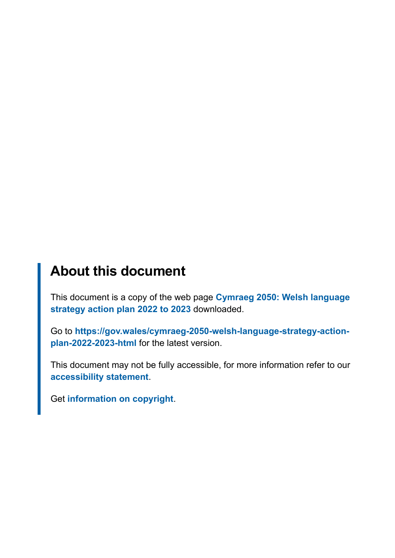# **About this document**

This document is a copy of the web page **[Cymraeg 2050: Welsh language](https://gov.wales/cymraeg-2050-welsh-language-strategy-action-plan-2022-2023-html) [strategy action plan 2022 to 2023](https://gov.wales/cymraeg-2050-welsh-language-strategy-action-plan-2022-2023-html)** downloaded.

Go to **[https://gov.wales/cymraeg-2050-welsh-language-strategy-action](https://gov.wales/cymraeg-2050-welsh-language-strategy-action-plan-2022-2023-html)[plan-2022-2023-html](https://gov.wales/cymraeg-2050-welsh-language-strategy-action-plan-2022-2023-html)** for the latest version.

This document may not be fully accessible, for more information refer to our **[accessibility statement](https://gov.wales/accessibility-statement-govwales)**.